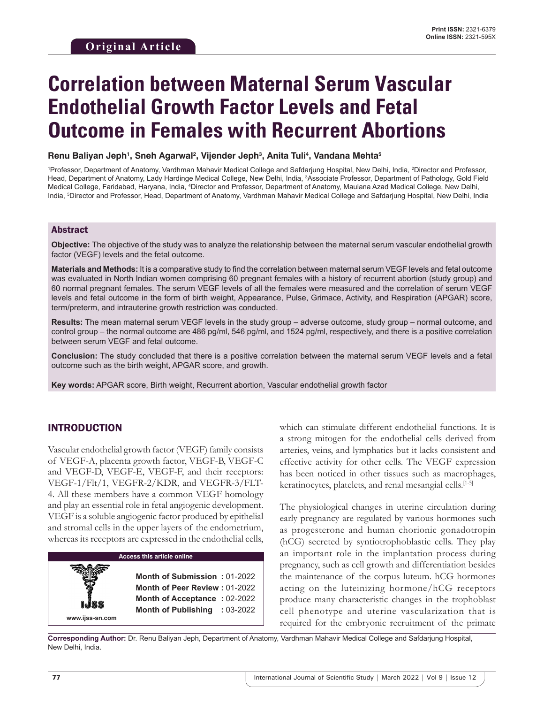# **Correlation between Maternal Serum Vascular Endothelial Growth Factor Levels and Fetal Outcome in Females with Recurrent Abortions**

**Renu Baliyan Jeph1 , Sneh Agarwal2 , Vijender Jeph3 , Anita Tuli4 , Vandana Mehta5**

<sup>1</sup>Professor, Department of Anatomy, Vardhman Mahavir Medical College and Safdarjung Hospital, New Delhi, India, <sup>2</sup>Director and Professor, Head, Department of Anatomy, Lady Hardinge Medical College, New Delhi, India, 3 Associate Professor, Department of Pathology, Gold Field Medical College, Faridabad, Haryana, India, <sup>4</sup>Director and Professor, Department of Anatomy, Maulana Azad Medical College, New Delhi, India, 5 Director and Professor, Head, Department of Anatomy, Vardhman Mahavir Medical College and Safdarjung Hospital, New Delhi, India

## Abstract

**Objective:** The objective of the study was to analyze the relationship between the maternal serum vascular endothelial growth factor (VEGF) levels and the fetal outcome.

**Materials and Methods:** It is a comparative study to find the correlation between maternal serum VEGF levels and fetal outcome was evaluated in North Indian women comprising 60 pregnant females with a history of recurrent abortion (study group) and 60 normal pregnant females. The serum VEGF levels of all the females were measured and the correlation of serum VEGF levels and fetal outcome in the form of birth weight, Appearance, Pulse, Grimace, Activity, and Respiration (APGAR) score, term/preterm, and intrauterine growth restriction was conducted.

**Results:** The mean maternal serum VEGF levels in the study group – adverse outcome, study group – normal outcome, and control group – the normal outcome are 486 pg/ml, 546 pg/ml, and 1524 pg/ml, respectively, and there is a positive correlation between serum VEGF and fetal outcome.

**Conclusion:** The study concluded that there is a positive correlation between the maternal serum VEGF levels and a fetal outcome such as the birth weight, APGAR score, and growth.

**Key words:** APGAR score, Birth weight, Recurrent abortion, Vascular endothelial growth factor

# INTRODUCTION

Vascular endothelial growth factor (VEGF) family consists of VEGF-A, placenta growth factor, VEGF-B, VEGF-C and VEGF-D, VEGF-E, VEGF-F, and their receptors: VEGF-1/Flt/1, VEGFR-2/KDR, and VEGFR-3/FLT-4. All these members have a common VEGF homology and play an essential role in fetal angiogenic development. VEGF is a soluble angiogenic factor produced by epithelial and stromal cells in the upper layers of the endometrium, whereas its receptors are expressed in the endothelial cells,



which can stimulate different endothelial functions. It is a strong mitogen for the endothelial cells derived from arteries, veins, and lymphatics but it lacks consistent and effective activity for other cells. The VEGF expression has been noticed in other tissues such as macrophages, keratinocytes, platelets, and renal mesangial cells.[1-5]

The physiological changes in uterine circulation during early pregnancy are regulated by various hormones such as progesterone and human chorionic gonadotropin (hCG) secreted by syntiotrophoblastic cells. They play an important role in the implantation process during pregnancy, such as cell growth and differentiation besides the maintenance of the corpus luteum. hCG hormones acting on the luteinizing hormone/hCG receptors produce many characteristic changes in the trophoblast cell phenotype and uterine vascularization that is required for the embryonic recruitment of the primate

**Corresponding Author:** Dr. Renu Baliyan Jeph, Department of Anatomy, Vardhman Mahavir Medical College and Safdarjung Hospital, New Delhi, India.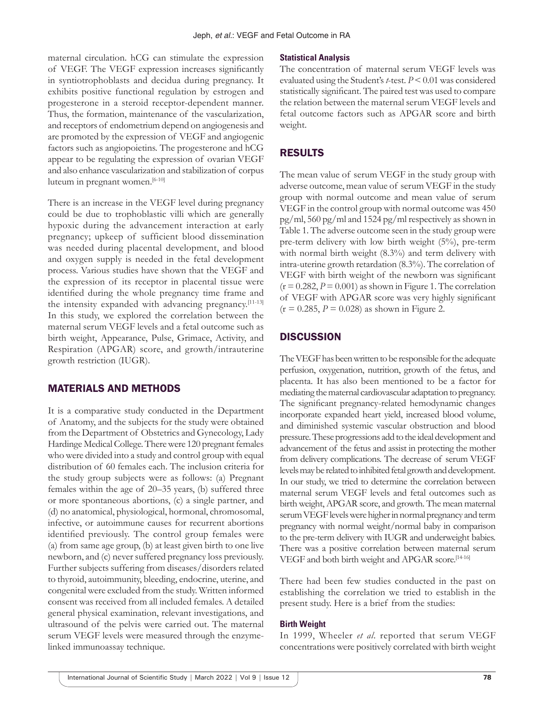maternal circulation. hCG can stimulate the expression of VEGF. The VEGF expression increases significantly in syntiotrophoblasts and decidua during pregnancy. It exhibits positive functional regulation by estrogen and progesterone in a steroid receptor-dependent manner. Thus, the formation, maintenance of the vascularization, and receptors of endometrium depend on angiogenesis and are promoted by the expression of VEGF and angiogenic factors such as angiopoietins. The progesterone and hCG appear to be regulating the expression of ovarian VEGF and also enhance vascularization and stabilization of corpus luteum in pregnant women.[6-10]

There is an increase in the VEGF level during pregnancy could be due to trophoblastic villi which are generally hypoxic during the advancement interaction at early pregnancy; upkeep of sufficient blood dissemination was needed during placental development, and blood and oxygen supply is needed in the fetal development process. Various studies have shown that the VEGF and the expression of its receptor in placental tissue were identified during the whole pregnancy time frame and the intensity expanded with advancing pregnancy.[11-13] In this study, we explored the correlation between the maternal serum VEGF levels and a fetal outcome such as birth weight, Appearance, Pulse, Grimace, Activity, and Respiration (APGAR) score, and growth/intrauterine growth restriction (IUGR).

# MATERIALS AND METHODS

It is a comparative study conducted in the Department of Anatomy, and the subjects for the study were obtained from the Department of Obstetrics and Gynecology, Lady Hardinge Medical College. There were 120 pregnant females who were divided into a study and control group with equal distribution of 60 females each. The inclusion criteria for the study group subjects were as follows: (a) Pregnant females within the age of 20–35 years, (b) suffered three or more spontaneous abortions, (c) a single partner, and (d) no anatomical, physiological, hormonal, chromosomal, infective, or autoimmune causes for recurrent abortions identified previously. The control group females were (a) from same age group, (b) at least given birth to one live newborn, and (c) never suffered pregnancy loss previously. Further subjects suffering from diseases/disorders related to thyroid, autoimmunity, bleeding, endocrine, uterine, and congenital were excluded from the study. Written informed consent was received from all included females. A detailed general physical examination, relevant investigations, and ultrasound of the pelvis were carried out. The maternal serum VEGF levels were measured through the enzymelinked immunoassay technique.

## **Statistical Analysis**

The concentration of maternal serum VEGF levels was evaluated using the Student's *t*-test. *P* < 0.01 was considered statistically significant. The paired test was used to compare the relation between the maternal serum VEGF levels and fetal outcome factors such as APGAR score and birth weight.

# RESULTS

The mean value of serum VEGF in the study group with adverse outcome, mean value of serum VEGF in the study group with normal outcome and mean value of serum VEGF in the control group with normal outcome was 450 pg/ml, 560 pg/ml and 1524 pg/ml respectively as shown in Table 1. The adverse outcome seen in the study group were pre-term delivery with low birth weight (5%), pre-term with normal birth weight  $(8.3%)$  and term delivery with intra-uterine growth retardation (8.3%). The correlation of VEGF with birth weight of the newborn was significant  $(r = 0.282, P = 0.001)$  as shown in Figure 1. The correlation of VEGF with APGAR score was very highly significant  $(r = 0.285, P = 0.028)$  as shown in Figure 2.

# **DISCUSSION**

The VEGF has been written to be responsible for the adequate perfusion, oxygenation, nutrition, growth of the fetus, and placenta. It has also been mentioned to be a factor for mediating the maternal cardiovascular adaptation to pregnancy. The significant pregnancy-related hemodynamic changes incorporate expanded heart yield, increased blood volume, and diminished systemic vascular obstruction and blood pressure. These progressions add to the ideal development and advancement of the fetus and assist in protecting the mother from delivery complications. The decrease of serum VEGF levels may be related to inhibited fetal growth and development. In our study, we tried to determine the correlation between maternal serum VEGF levels and fetal outcomes such as birth weight, APGAR score, and growth. The mean maternal serum VEGF levels were higher in normal pregnancy and term pregnancy with normal weight/normal baby in comparison to the pre-term delivery with IUGR and underweight babies. There was a positive correlation between maternal serum VEGF and both birth weight and APGAR score.[14-16]

There had been few studies conducted in the past on establishing the correlation we tried to establish in the present study. Here is a brief from the studies:

#### **Birth Weight**

In 1999, Wheeler *et al*. reported that serum VEGF concentrations were positively correlated with birth weight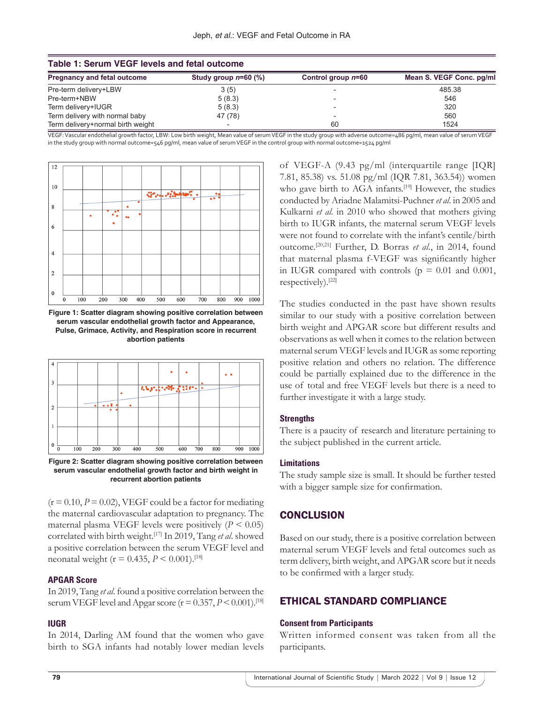| Table 1: Serum VEGF levels and fetal outcome |                        |                      |                          |
|----------------------------------------------|------------------------|----------------------|--------------------------|
| <b>Pregnancy and fetal outcome</b>           | Study group $n=60$ (%) | Control group $n=60$ | Mean S. VEGF Conc. pg/ml |
| Pre-term delivery+LBW                        | 3(5)                   |                      | 485.38                   |
| Pre-term+NBW                                 | 5(8.3)                 |                      | 546                      |
| Term delivery+IUGR                           | 5(8.3)                 |                      | 320                      |
| Term delivery with normal baby               | 47 (78)                |                      | 560                      |
| Term delivery+normal birth weight            |                        | 60                   | 1524                     |

VEGF: Vascular endothelial growth factor, LBW: Low birth weight, Mean value of serum VEGF in the study group with adverse outcome=486 pg/ml, mean value of serum VEGF in the study group with normal outcome=546 pg/ml, mean value of serum VEGF in the control group with normal outcome=1524 pg/ml



**Figure 1: Scatter diagram showing positive correlation between serum vascular endothelial growth factor and Appearance, Pulse, Grimace, Activity, and Respiration score in recurrent abortion patients**



**Figure 2: Scatter diagram showing positive correlation between serum vascular endothelial growth factor and birth weight in recurrent abortion patients**

 $(r = 0.10, P = 0.02)$ , VEGF could be a factor for mediating the maternal cardiovascular adaptation to pregnancy. The maternal plasma VEGF levels were positively  $(P < 0.05)$ correlated with birth weight.[17] In 2019, Tang *et al*. showed a positive correlation between the serum VEGF level and neonatal weight (r = 0.435, *P* < 0.001).[18]

## **APGAR Score**

In 2019, Tang *et al*. found a positive correlation between the serum VEGF level and Apgar score ( $r = 0.357$ ,  $P \le 0.001$ ).<sup>[18]</sup>

## **IUGR**

In 2014, Darling AM found that the women who gave birth to SGA infants had notably lower median levels of VEGF-A (9.43 pg/ml (interquartile range [IQR] 7.81, 85.38) vs. 51.08 pg/ml (IQR 7.81, 363.54)) women who gave birth to AGA infants.<sup>[19]</sup> However, the studies conducted by Ariadne Malamitsi-Puchner *et al*. in 2005 and Kulkarni *et al*. in 2010 who showed that mothers giving birth to IUGR infants, the maternal serum VEGF levels were not found to correlate with the infant's centile/birth outcome.[20,21] Further, D. Borras *et al*., in 2014, found that maternal plasma f-VEGF was significantly higher in IUGR compared with controls ( $p = 0.01$  and 0.001, respectively).[22]

The studies conducted in the past have shown results similar to our study with a positive correlation between birth weight and APGAR score but different results and observations as well when it comes to the relation between maternal serum VEGF levels and IUGR as some reporting positive relation and others no relation. The difference could be partially explained due to the difference in the use of total and free VEGF levels but there is a need to further investigate it with a large study.

## **Strengths**

There is a paucity of research and literature pertaining to the subject published in the current article.

#### **Limitations**

The study sample size is small. It should be further tested with a bigger sample size for confirmation.

# **CONCLUSION**

Based on our study, there is a positive correlation between maternal serum VEGF levels and fetal outcomes such as term delivery, birth weight, and APGAR score but it needs to be confirmed with a larger study.

# ETHICAL STANDARD COMPLIANCE

#### **Consent from Participants**

Written informed consent was taken from all the participants.